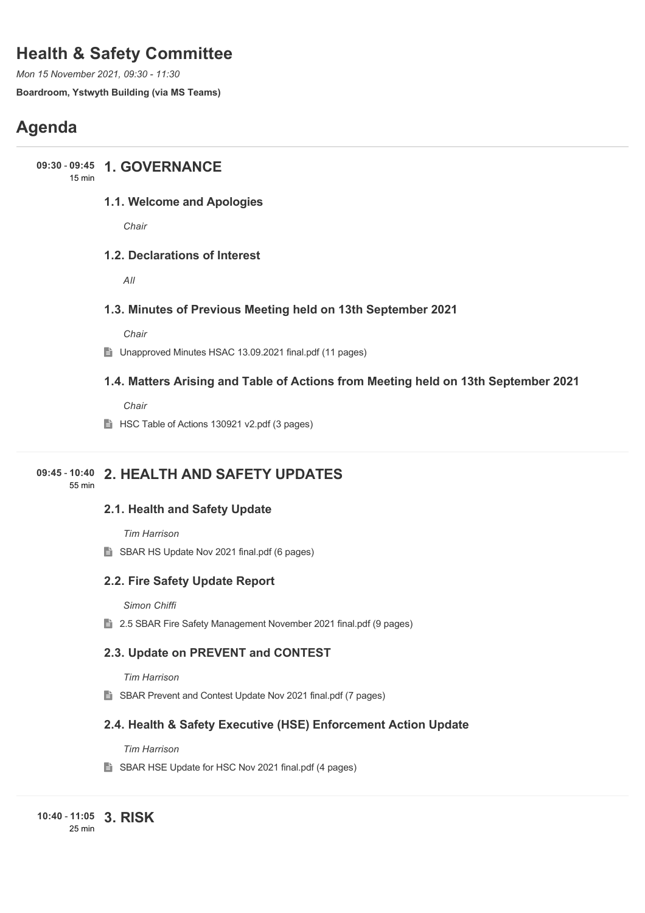# **Health & Safety Committee**

*Mon 15 November 2021, 09:30 - 11:30* **Boardroom, Ystwyth Building (via MS Teams)**

# **Agenda**

## **1. GOVERNANCE 09:30** - **09:45**

15 min

## **1.1. Welcome and Apologies**

*Chair*

## **1.2. Declarations of Interest**

*All*

## **1.3. Minutes of Previous Meeting held on 13th September 2021**

*Chair*

■ Unapproved Minutes HSAC 13.09.2021 final.pdf (11 pages)

## **1.4. Matters Arising and Table of Actions from Meeting held on 13th September 2021**

*Chair*

**HSC Table of Actions 130921 v2.pdf (3 pages)** 

## **2. HEALTH AND SAFETY UPDATES 09:45** - **10:40**

55 min

## **2.1. Health and Safety Update**

*Tim Harrison*

SBAR HS Update Nov 2021 final.pdf (6 pages)

## **2.2. Fire Safety Update Report**

*Simon Chiffi*

**■ 2.5 SBAR Fire Safety Management November 2021 final.pdf (9 pages)** 

## **2.3. Update on PREVENT and CONTEST**

*Tim Harrison*

**B** SBAR Prevent and Contest Update Nov 2021 final.pdf (7 pages)

## **2.4. Health & Safety Executive (HSE) Enforcement Action Update**

*Tim Harrison*

■ SBAR HSE Update for HSC Nov 2021 final.pdf (4 pages)

**3. RISK 10:40** - **11:05** 25 min